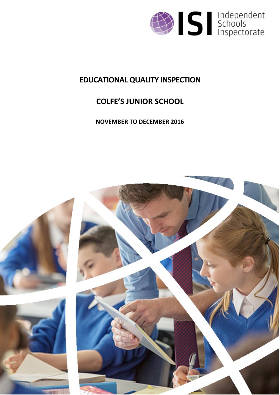

# **EDUCATIONALQUALITY INSPECTION**

# **COLFE'S JUNIOR SCHOOL**

**NOVEMBER TO DECEMBER 2016**

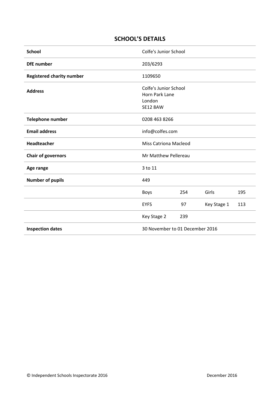# **SCHOOL'S DETAILS**

| <b>School</b>                    | Colfe's Junior School                                                |     |             |     |
|----------------------------------|----------------------------------------------------------------------|-----|-------------|-----|
| <b>DfE</b> number                | 203/6293                                                             |     |             |     |
| <b>Registered charity number</b> | 1109650                                                              |     |             |     |
| <b>Address</b>                   | Colfe's Junior School<br>Horn Park Lane<br>London<br><b>SE12 8AW</b> |     |             |     |
| <b>Telephone number</b>          | 0208 463 8266                                                        |     |             |     |
| <b>Email address</b>             | info@colfes.com                                                      |     |             |     |
| <b>Headteacher</b>               | <b>Miss Catriona Macleod</b>                                         |     |             |     |
| <b>Chair of governors</b>        | Mr Matthew Pellereau                                                 |     |             |     |
| Age range                        | 3 to 11                                                              |     |             |     |
|                                  |                                                                      |     |             |     |
| <b>Number of pupils</b>          | 449                                                                  |     |             |     |
|                                  | <b>Boys</b>                                                          | 254 | Girls       | 195 |
|                                  | <b>EYFS</b>                                                          | 97  | Key Stage 1 | 113 |
|                                  | Key Stage 2                                                          | 239 |             |     |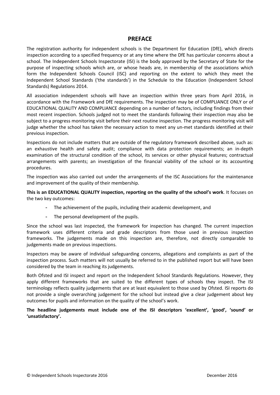## **PREFACE**

The registration authority for independent schools is the Department for Education (DfE), which directs inspection according to a specified frequency or at any time where the DfE has particular concerns about a school. The Independent Schools Inspectorate (ISI) is the body approved by the Secretary of State for the purpose of inspecting schools which are, or whose heads are, in membership of the associations which form the Independent Schools Council (ISC) and reporting on the extent to which they meet the Independent School Standards ('the standards') in the Schedule to the Education (Independent School Standards) Regulations 2014.

All association independent schools will have an inspection within three years from April 2016, in accordance with the Framework and DfE requirements. The inspection may be of COMPLIANCE ONLY or of EDUCATIONAL QUALITY AND COMPLIANCE depending on a number of factors, including findings from their most recent inspection. Schools judged not to meet the standards following their inspection may also be subject to a progress monitoring visit before their next routine inspection. The progress monitoring visit will judge whether the school has taken the necessary action to meet any un-met standards identified at their previous inspection.

Inspections do not include matters that are outside of the regulatory framework described above, such as: an exhaustive health and safety audit; compliance with data protection requirements; an in-depth examination of the structural condition of the school, its services or other physical features; contractual arrangements with parents; an investigation of the financial viability of the school or its accounting procedures.

The inspection was also carried out under the arrangements of the ISC Associations for the maintenance and improvement of the quality of their membership.

**This is an EDUCATIONAL QUALITY inspection, reporting on the quality of the school's work**. It focuses on the two key outcomes:

- The achievement of the pupils, including their academic development, and
- The personal development of the pupils.

Since the school was last inspected, the framework for inspection has changed. The current inspection framework uses different criteria and grade descriptors from those used in previous inspection frameworks. The judgements made on this inspection are, therefore, not directly comparable to judgements made on previous inspections.

Inspectors may be aware of individual safeguarding concerns, allegations and complaints as part of the inspection process. Such matters will not usually be referred to in the published report but will have been considered by the team in reaching its judgements.

Both Ofsted and ISI inspect and report on the Independent School Standards Regulations. However, they apply different frameworks that are suited to the different types of schools they inspect. The ISI terminology reflects quality judgements that are at least equivalent to those used by Ofsted. ISI reports do not provide a single overarching judgement for the school but instead give a clear judgement about key outcomes for pupils and information on the quality of the school's work.

**The headline judgements must include one of the ISI descriptors 'excellent', 'good', 'sound' or 'unsatisfactory'.**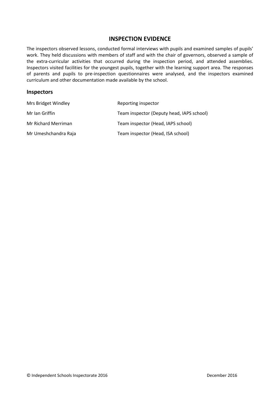## **INSPECTION EVIDENCE**

The inspectors observed lessons, conducted formal interviews with pupils and examined samples of pupils' work. They held discussions with members of staff and with the chair of governors, observed a sample of the extra-curricular activities that occurred during the inspection period, and attended assemblies. Inspectors visited facilities for the youngest pupils, together with the learning support area. The responses of parents and pupils to pre-inspection questionnaires were analysed, and the inspectors examined curriculum and other documentation made available by the school.

#### **Inspectors**

| Mrs Bridget Windley  | Reporting inspector                       |
|----------------------|-------------------------------------------|
| Mr Ian Griffin       | Team inspector (Deputy head, IAPS school) |
| Mr Richard Merriman  | Team inspector (Head, IAPS school)        |
| Mr Umeshchandra Raja | Team inspector (Head, ISA school)         |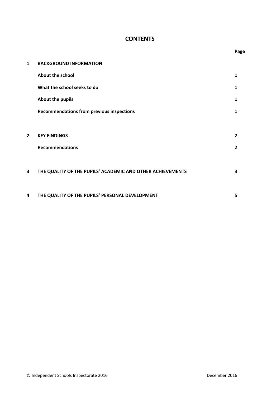# **CONTENTS**

| $\mathbf{1}$   | <b>BACKGROUND INFORMATION</b>                              |                |
|----------------|------------------------------------------------------------|----------------|
|                | About the school                                           | 1              |
|                | What the school seeks to do                                | 1              |
|                | About the pupils                                           | 1              |
|                | <b>Recommendations from previous inspections</b>           | 1              |
|                |                                                            |                |
| $\overline{2}$ | <b>KEY FINDINGS</b>                                        | $\overline{2}$ |
|                | <b>Recommendations</b>                                     | $\overline{2}$ |
|                |                                                            |                |
| 3              | THE QUALITY OF THE PUPILS' ACADEMIC AND OTHER ACHIEVEMENTS | 3              |
|                |                                                            |                |
| 4              | THE QUALITY OF THE PUPILS' PERSONAL DEVELOPMENT            | 5              |

**Page**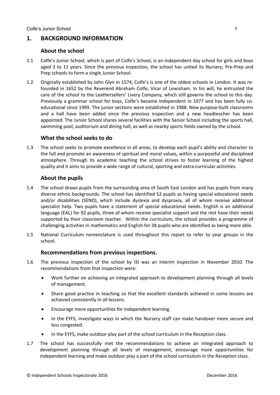# **1. BACKGROUND INFORMATION**

#### **About the school**

- 1.1 Colfe's Junior School, which is part of Colfe's School, is an independent day school for girls and boys aged 3 to 11 years. Since the previous inspection, the school has united its Nursery, Pre-Prep and Prep schools to form a single Junior School.
- 1.2 Originally established by John Glyn in 1574, Colfe's is one of the oldest schools in London. It was refounded in 1652 by the Reverend Abraham Colfe, Vicar of Lewisham. In his will, he entrusted the care of the school to the Leathersellers' Livery Company, which still governs the school to this day. Previously a grammar school for boys, Colfe's became independent in 1977 and has been fully coeducational since 1999. The junior sections were established in 1988. New purpose-built classrooms and a hall have been added since the previous inspection and a new headteacher has been appointed. The Junior School shares several facilities with the Senior School including the sports hall, swimming pool, auditorium and dining hall, as well as nearby sports fields owned by the school.

#### **What the school seeks to do**

1.3 The school seeks to promote excellence in all areas, to develop each pupil's ability and character to the full and promote an awareness of spiritual and moral values, within a purposeful and disciplined atmosphere. Through its academic teaching the school strives to foster learning of the highest quality and it aims to provide a wide range of cultural, sporting and extra-curricular activities.

#### **About the pupils**

- 1.4 The school draws pupils from the surrounding area of South East London and has pupils from many diverse ethnic backgrounds. The school has identified 52 pupils as having special educational needs and/or disabilities (SEND), which include dyslexia and dyspraxia, all of whom receive additional specialist help. Two pupils have a statement of special educational needs. English is an additional language (EAL) for 92 pupils, three of whom receive specialist support and the rest have their needs supported by their classroom teacher. Within the curriculum, the school provides a programme of challenging activities in mathematics and English for 38 pupils who are identified as being more able.
- 1.5 National Curriculum nomenclature is used throughout this report to refer to year groups in the school.

#### **Recommendations from previous inspections.**

- 1.6 The previous inspection of the school by ISI was an interim inspection in November 2010. The recommendations from that inspection were:
	- Work further on achieving an integrated approach to development planning through all levels of management.
	- Share good practice in teaching so that the excellent standards achieved in some lessons are achieved consistently in all lessons.
	- Encourage more opportunities for independent learning.
	- In the EYFS, investigate ways in which the Nursery staff can make handover more secure and less congested.
	- In the EYFS, make outdoor play part of the school curriculum in the Reception class.
- 1.7 The school has successfully met the recommendations to achieve an integrated approach to development planning through all levels of management, encourage more opportunities for independent learning and make outdoor play a part of the school curriculum in the Reception class.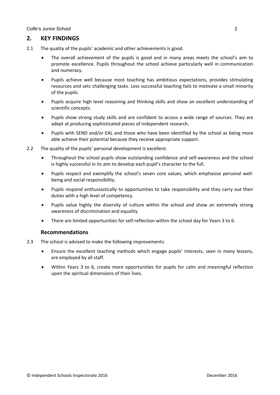Colfe's Junior School 2

## **2. KEY FINDINGS**

- 2.1 The quality of the pupils' academic and other achievements is good.
	- The overall achievement of the pupils is good and in many areas meets the school's aim to promote excellence. Pupils throughout the school achieve particularly well in communication and numeracy.
	- Pupils achieve well because most teaching has ambitious expectations, provides stimulating resources and sets challenging tasks. Less successful teaching fails to motivate a small minority of the pupils.
	- Pupils acquire high level reasoning and thinking skills and show an excellent understanding of scientific concepts.
	- Pupils show strong study skills and are confident to access a wide range of sources. They are adept at producing sophisticated pieces of independent research.
	- Pupils with SEND and/or EAL and those who have been identified by the school as being more able achieve their potential because they receive appropriate support.
- 2.2 The quality of the pupils' personal development is excellent.
	- Throughout the school pupils show outstanding confidence and self-awareness and the school is highly successful in its aim to develop each pupil's character to the full.
	- Pupils respect and exemplify the school's seven core values, which emphasise personal wellbeing and social responsibility.
	- Pupils respond enthusiastically to opportunities to take responsibility and they carry out their duties with a high level of competency.
	- Pupils value highly the diversity of culture within the school and show an extremely strong awareness of discrimination and equality.
	- There are limited opportunities for self-reflection within the school day for Years 3 to 6.

### **Recommendations**

- 2.3 The school is advised to make the following improvements:
	- Ensure the excellent teaching methods which engage pupils' interests, seen in many lessons, are employed by all staff.
	- Within Years 3 to 6, create more opportunities for pupils for calm and meaningful reflection upon the spiritual dimensions of their lives.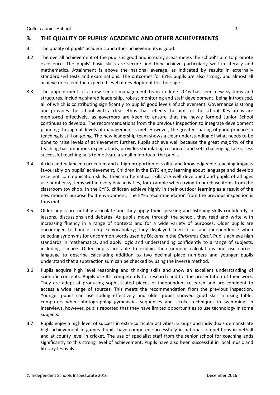# **3. THE QUALITY OF PUPILS' ACADEMIC AND OTHER ACHIEVEMENTS**

- 3.1 The quality of pupils' academic and other achievements is good.
- 3.2 The overall achievement of the pupils is good and in many areas meets the school's aim to promote excellence. The pupils' basic skills are secure and they achieve particularly well in literacy and mathematics. Attainment is above the national average, as indicated by results in externally standardised tests and examinations. The outcomes for EYFS pupils are also strong, and almost all achieve or exceed the expected level of development for their age.
- 3.3 The appointment of a new senior management team in June 2016 has seen new systems and structures, including shared leadership, robust monitoring and staff development, being introduced, all of which is contributing significantly to pupils' good levels of achievement. Governance is strong and provides the school with a clear ethos that reflects the aims of the school. Key areas are monitored effectively, as governors are keen to ensure that the newly formed Junior School continues to develop. The recommendations from the previous inspection to integrate development planning through all levels of management is met. However, the greater sharing of good practice in teaching is still on-going. The new leadership team shows a clear understanding of what needs to be done to raise levels of achievement further. Pupils achieve well because the great majority of the teaching has ambitious expectations, provides stimulating resources and sets challenging tasks. Less successful teaching fails to motivate a small minority of the pupils.
- 3.4 A rich and balanced curriculum and a high proportion of skilful and knowledgeable teaching impacts favourably on pupils' achievement. Children in the EYFS enjoy learning about language and develop excellent communication skills. Their mathematical skills are well developed and pupils of all ages use number systems within every day activities, for example when trying to purchase items from the classroom toy shop. In the EYFS, children achieve highly in their outdoor learning as a result of the new modern purpose built environment. The EYFS recommendation from the previous inspection is thus met.
- 3.5 Older pupils are notably articulate and they apply their speaking and listening skills confidently in lessons, discussions and debates. As pupils move through the school, they read and write with increasing fluency in a range of contexts and for a wide variety of purposes. Older pupils are encouraged to handle complex vocabulary; they displayed keen focus and independence when selecting synonyms for uncommon words used by Dickens in the *Christmas Carol*. Pupils achieve high standards in mathematics, and apply logic and understanding confidently to a range of subjects, including science. Older pupils are able to explain their numeric calculations and use correct language to describe calculating addition to two decimal place numbers and younger pupils understand that a subtraction sum can be checked by using the inverse method.
- 3.6 Pupils acquire high level reasoning and thinking skills and show an excellent understanding of scientific concepts. Pupils use ICT competently for research and for the presentation of their work. They are adept at producing sophisticated pieces of independent research and are confident to access a wide range of sources. This meets the recommendation from the previous inspection. Younger pupils can use coding effectively and older pupils showed good skill in using tablet computers when photographing gymnastics sequences and stroke techniques in swimming. In interviews, however, pupils reported that they have limited opportunities to use technology in some subjects.
- 3.7 Pupils enjoy a high level of success in extra-curricular activities. Groups and individuals demonstrate high achievement in games. Pupils have competed successfully in national competitions in netball and at county level in cricket. The use of specialist staff from the senior school for coaching adds significantly to this strong level of achievement. Pupils have also been successful in local music and literary festivals.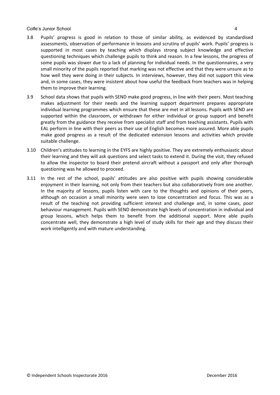#### Colfe's Junior School 4

- 3.8 Pupils' progress is good in relation to those of similar ability, as evidenced by standardised assessments, observation of performance in lessons and scrutiny of pupils' work. Pupils' progress is supported in most cases by teaching which displays strong subject knowledge and effective questioning techniques which challenge pupils to think and reason. In a few lessons, the progress of some pupils was slower due to a lack of planning for individual needs. In the questionnaires, a very small minority of the pupils reported that marking was not effective and that they were unsure as to how well they were doing in their subjects. In interviews, however, they did not support this view and, in some cases, they were insistent about how useful the feedback from teachers was in helping them to improve their learning.
- 3.9 School data shows that pupils with SEND make good progress, in line with their peers. Most teaching makes adjustment for their needs and the learning support department prepares appropriate individual learning programmes which ensure that these are met in all lessons. Pupils with SEND are supported within the classroom, or withdrawn for either individual or group support and benefit greatly from the guidance they receive from specialist staff and from teaching assistants. Pupils with EAL perform in line with their peers as their use of English becomes more assured. More able pupils make good progress as a result of the dedicated extension lessons and activities which provide suitable challenge.
- 3.10 Children's attitudes to learning in the EYFS are highly positive. They are extremely enthusiastic about their learning and they will ask questions and select tasks to extend it. During the visit, they refused to allow the inspector to board their pretend aircraft without a passport and only after thorough questioning was he allowed to proceed.
- 3.11 In the rest of the school, pupils' attitudes are also positive with pupils showing considerable enjoyment in their learning, not only from their teachers but also collaboratively from one another. In the majority of lessons, pupils listen with care to the thoughts and opinions of their peers, although on occasion a small minority were seen to lose concentration and focus. This was as a result of the teaching not providing sufficient interest and challenge and, in some cases, poor behaviour management. Pupils with SEND demonstrate high levels of concentration in individual and group lessons, which helps them to benefit from the additional support. More able pupils concentrate well, they demonstrate a high level of study skills for their age and they discuss their work intelligently and with mature understanding.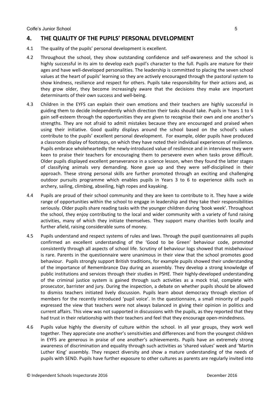## **4. THE QUALITY OF THE PUPILS' PERSONAL DEVELOPMENT**

- 4.1 The quality of the pupils' personal development is excellent.
- 4.2 Throughout the school, they show outstanding confidence and self-awareness and the school is highly successful in its aim to develop each pupil's character to the full. Pupils are mature for their ages and have well-developed personalities. The leadership is committed to placing the seven school values at the heart of pupils' learning so they are actively encouraged through the pastoral system to show kindness, resilience and respect for others. Pupils take responsibility for their actions and, as they grow older, they become increasingly aware that the decisions they make are important determinants of their own success and well-being.
- 4.3 Children in the EYFS can explain their own emotions and their teachers are highly successful in guiding them to decide independently which direction their tasks should take. Pupils in Years 1 to 6 gain self-esteem through the opportunities they are given to recognise their own and one another's strengths. They are not afraid to admit mistakes because they are encouraged and praised when using their initiative. Good quality displays around the school based on the school's values contribute to the pupils' excellent personal development. For example, older pupils have produced a classroom display of footsteps, on which they have noted their individual experiences of resilience. Pupils embrace wholeheartedly the newly-introduced value of resilience and in interviews they were keen to praise their teachers for encouraging them to persevere even when tasks prove difficult. Older pupils displayed excellent perseverance in a science lesson, when they found the latter stages of classifying animals very demanding. None gave up and they were self-disciplined in their approach. These strong personal skills are further promoted through an exciting and challenging outdoor pursuits programme which enables pupils in Years 3 to 6 to experience skills such as archery, sailing, climbing, abseiling, high ropes and kayaking.
- 4.4 Pupils are proud of their school community and they are keen to contribute to it. They have a wide range of opportunities within the school to engage in leadership and they take their responsibilities seriously. Older pupils share reading tasks with the younger children during 'book week'. Throughout the school, they enjoy contributing to the local and wider community with a variety of fund raising activities, many of which they initiate themselves. They support many charities both locally and further afield, raising considerable sums of money.
- 4.5 Pupils understand and respect systems of rules and laws. Through the pupil questionnaires all pupils confirmed an excellent understanding of the 'Good to be Green' behaviour code, promoted consistently through all aspects of school life. Scrutiny of behaviour logs showed that misbehaviour is rare. Parents in the questionnaire were unanimous in their view that the school promotes good behaviour. Pupils strongly support British traditions, for example pupils showed their understanding of the importance of Remembrance Day during an assembly. They develop a strong knowledge of public institutions and services through their studies in PSHE. Their highly-developed understanding of the criminal justice system is gained through such activities as a mock trial, complete with prosecutor, barrister and jury. During the inspection, a debate on whether pupils should be allowed to dismiss teachers initiated lively discussion. Pupils learn about democracy through election of members for the recently introduced 'pupil voice'. In the questionnaire, a small minority of pupils expressed the view that teachers were not always balanced in giving their opinion in politics and current affairs. This view was not supported in discussions with the pupils, as they reported that they had trust in their relationship with their teachers and feel that they encourage open-mindedness.
- 4.6 Pupils value highly the diversity of culture within the school. In all year groups, they work well together. They appreciate one another's sensitivities and differences and from the youngest children in EYFS are generous in praise of one another's achievements. Pupils have an extremely strong awareness of discrimination and equality through such activities as 'shared values' week and 'Martin Luther King' assembly. They respect diversity and show a mature understanding of the needs of pupils with SEND. Pupils have further exposure to other cultures as parents are regularly invited into